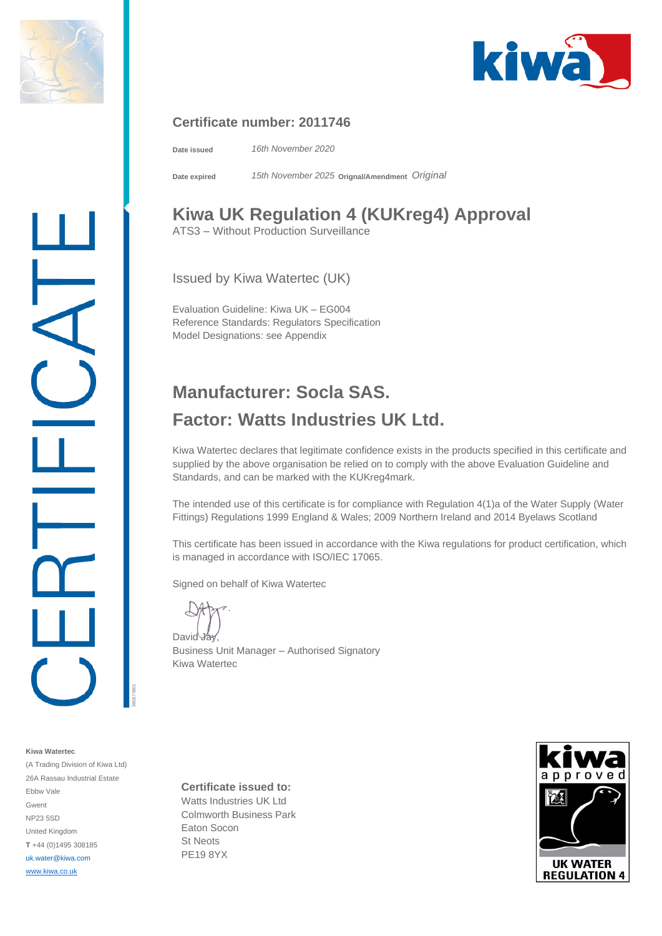



## **Certificate number: 2011746**

**Date issued** *16th November 2020*

**Date expired** *15th November 2025* **Orignal/Amendment** *Original*

## **Kiwa UK Regulation 4 (KUKreg4) Approval**

ATS3 – Without Production Surveillance

Issued by Kiwa Watertec (UK)

Evaluation Guideline: Kiwa UK – EG004 Reference Standards: Regulators Specification Model Designations: see Appendix

## **Manufacturer: Socla SAS. Factor: Watts Industries UK Ltd.**

Kiwa Watertec declares that legitimate confidence exists in the products specified in this certificate and supplied by the above organisation be relied on to comply with the above Evaluation Guideline and Standards, and can be marked with the KUKreg4mark.

The intended use of this certificate is for compliance with Regulation 4(1)a of the Water Supply (Water Fittings) Regulations 1999 England & Wales; 2009 Northern Ireland and 2014 Byelaws Scotland

This certificate has been issued in accordance with the Kiwa regulations for product certification, which is managed in accordance with ISO/IEC 17065.

Signed on behalf of Kiwa Watertec

David Jay

Business Unit Manager – Authorised Signatory Kiwa Watertec

**Kiwa Watertec** (A Trading Division of Kiwa Ltd) 26A Rassau Industrial Estate Ebbw Vale Gwent NP23 5SD United Kingdom **T** +44 (0)1495 308185 uk.water@kiwa.com [www.kiwa.co.uk](http://www.kiwa.co.uk/)

390/170301

**Certificate issued to:**

Watts Industries UK Ltd Colmworth Business Park Eaton Socon St Neots PE19 8YX